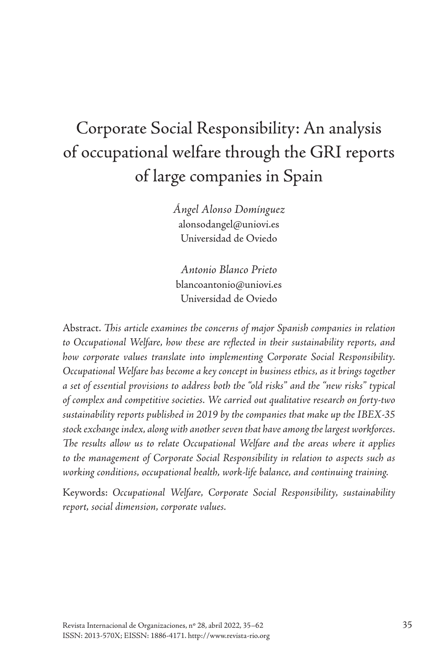# Corporate Social Responsibility: An analysis of occupational welfare through the GRI reports of large companies in Spain

*Ángel Alonso Domínguez* [alonsodangel@uniovi.es](mailto:alonsodangel@uniovi.es) Universidad de Oviedo

*Antonio Blanco Prieto* blancoantonio@uniovi.es Universidad de Oviedo

Abstract. *This article examines the concerns of major Spanish companies in relation to Occupational Welfare, how these are reflected in their sustainability reports, and how corporate values translate into implementing Corporate Social Responsibility. Occupational Welfare has become a key concept in business ethics, as it brings together a set of essential provisions to address both the "old risks" and the "new risks" typical of complex and competitive societies. We carried out qualitative research on forty-two sustainability reports published in 2019 by the companies that make up the IBEX-35 stock exchange index, along with another seven that have among the largest workforces. The results allow us to relate Occupational Welfare and the areas where it applies to the management of Corporate Social Responsibility in relation to aspects such as working conditions, occupational health, work-life balance, and continuing training.*

Keywords: *Occupational Welfare, Corporate Social Responsibility, sustainability report, social dimension, corporate values.*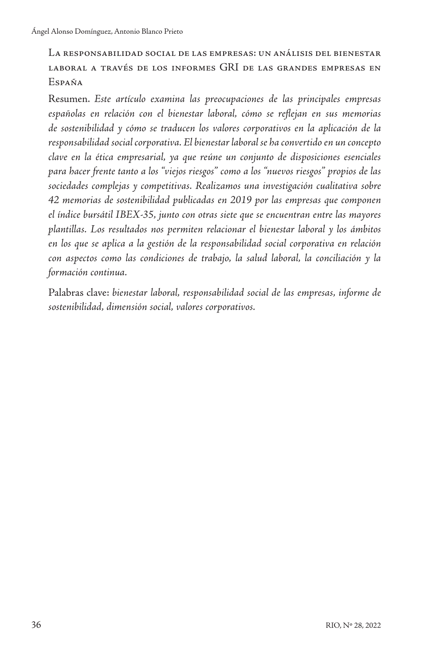La responsabilidad social de las empresas: un análisis del bienestar laboral a través de los informes GRI de las grandes empresas en España

Resumen. *Este artículo examina las preocupaciones de las principales empresas españolas en relación con el bienestar laboral, cómo se reflejan en sus memorias de sostenibilidad y cómo se traducen los valores corporativos en la aplicación de la responsabilidad social corporativa. El bienestar laboral se ha convertido en un concepto clave en la ética empresarial, ya que reúne un conjunto de disposiciones esenciales para hacer frente tanto a los "viejos riesgos" como a los "nuevos riesgos" propios de las sociedades complejas y competitivas. Realizamos una investigación cualitativa sobre 42 memorias de sostenibilidad publicadas en 2019 por las empresas que componen el índice bursátil IBEX-35, junto con otras siete que se encuentran entre las mayores plantillas. Los resultados nos permiten relacionar el bienestar laboral y los ámbitos en los que se aplica a la gestión de la responsabilidad social corporativa en relación con aspectos como las condiciones de trabajo, la salud laboral, la conciliación y la formación continua.*

Palabras clave: *bienestar laboral, responsabilidad social de las empresas, informe de sostenibilidad, dimensión social, valores corporativos.*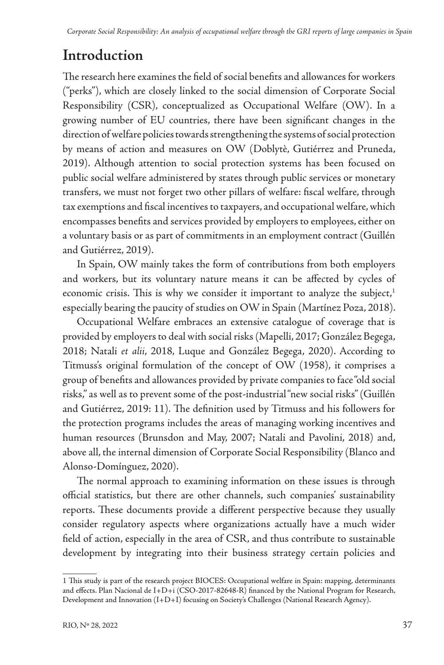# **Introduction**

The research here examines the field of social benefits and allowances for workers ("perks"), which are closely linked to the social dimension of Corporate Social Responsibility (CSR), conceptualized as Occupational Welfare (OW). In a growing number of EU countries, there have been significant changes in the direction of welfare policies towards strengthening the systems of social protection by means of action and measures on OW (Doblytè, Gutiérrez and Pruneda, 2019). Although attention to social protection systems has been focused on public social welfare administered by states through public services or monetary transfers, we must not forget two other pillars of welfare: fiscal welfare, through tax exemptions and fiscal incentives to taxpayers, and occupational welfare, which encompasses benefits and services provided by employers to employees, either on a voluntary basis or as part of commitments in an employment contract (Guillén and Gutiérrez, 2019).

In Spain, OW mainly takes the form of contributions from both employers and workers, but its voluntary nature means it can be affected by cycles of economic crisis. This is why we consider it important to analyze the subject, $1$ especially bearing the paucity of studies on OW in Spain (Martínez Poza, 2018).

Occupational Welfare embraces an extensive catalogue of coverage that is provided by employers to deal with social risks (Mapelli, 2017; González Begega, 2018; Natali *et alii*, 2018, Luque and González Begega, 2020). According to Titmuss's original formulation of the concept of OW (1958), it comprises a group of benefits and allowances provided by private companies to face "old social risks," as well as to prevent some of the post-industrial "new social risks" (Guillén and Gutiérrez, 2019: 11). The definition used by Titmuss and his followers for the protection programs includes the areas of managing working incentives and human resources (Brunsdon and May, 2007; Natali and Pavolini, 2018) and, above all, the internal dimension of Corporate Social Responsibility (Blanco and Alonso-Domínguez, 2020).

The normal approach to examining information on these issues is through official statistics, but there are other channels, such companies' sustainability reports. These documents provide a different perspective because they usually consider regulatory aspects where organizations actually have a much wider field of action, especially in the area of CSR, and thus contribute to sustainable development by integrating into their business strategy certain policies and

<sup>1</sup> This study is part of the research project BIOCES: Occupational welfare in Spain: mapping, determinants and effects. Plan Nacional de I+D+i (CSO-2017-82648-R) financed by the National Program for Research, Development and Innovation (I+D+I) focusing on Society's Challenges (National Research Agency).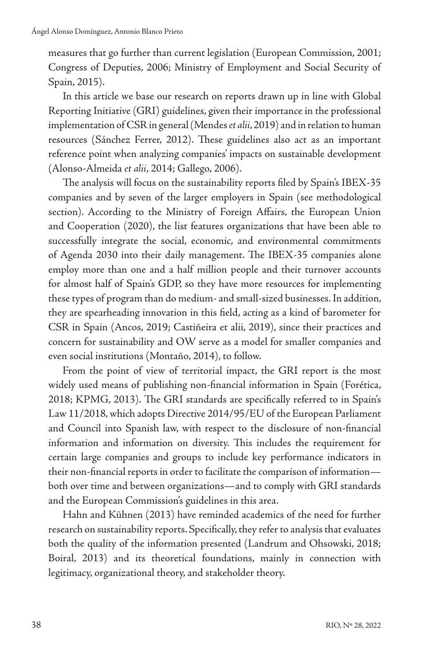measures that go further than current legislation (European Commission, 2001; Congress of Deputies, 2006; Ministry of Employment and Social Security of Spain, 2015).

In this article we base our research on reports drawn up in line with Global Reporting Initiative (GRI) guidelines, given their importance in the professional implementation of CSR in general (Mendes *et alii*, 2019) and in relation to human resources (Sánchez Ferrer, 2012). These guidelines also act as an important reference point when analyzing companies' impacts on sustainable development (Alonso-Almeida *et alii*, 2014; Gallego, 2006).

The analysis will focus on the sustainability reports filed by Spain's IBEX-35 companies and by seven of the larger employers in Spain (see methodological section). According to the Ministry of Foreign Affairs, the European Union and Cooperation (2020), the list features organizations that have been able to successfully integrate the social, economic, and environmental commitments of Agenda 2030 into their daily management. The IBEX-35 companies alone employ more than one and a half million people and their turnover accounts for almost half of Spain's GDP, so they have more resources for implementing these types of program than do medium- and small-sized businesses. In addition, they are spearheading innovation in this field, acting as a kind of barometer for CSR in Spain (Ancos, 2019; Castiñeira et alii, 2019), since their practices and concern for sustainability and OW serve as a model for smaller companies and even social institutions (Montaño, 2014), to follow.

From the point of view of territorial impact, the GRI report is the most widely used means of publishing non-financial information in Spain (Forética, 2018; KPMG, 2013). The GRI standards are specifically referred to in Spain's Law 11/2018, which adopts Directive 2014/95/EU of the European Parliament and Council into Spanish law, with respect to the disclosure of non-financial information and information on diversity. This includes the requirement for certain large companies and groups to include key performance indicators in their non-financial reports in order to facilitate the comparison of information both over time and between organizations—and to comply with GRI standards and the European Commission's guidelines in this area.

Hahn and Kühnen (2013) have reminded academics of the need for further research on sustainability reports. Specifically, they refer to analysis that evaluates both the quality of the information presented (Landrum and Ohsowski, 2018; Boiral, 2013) and its theoretical foundations, mainly in connection with legitimacy, organizational theory, and stakeholder theory.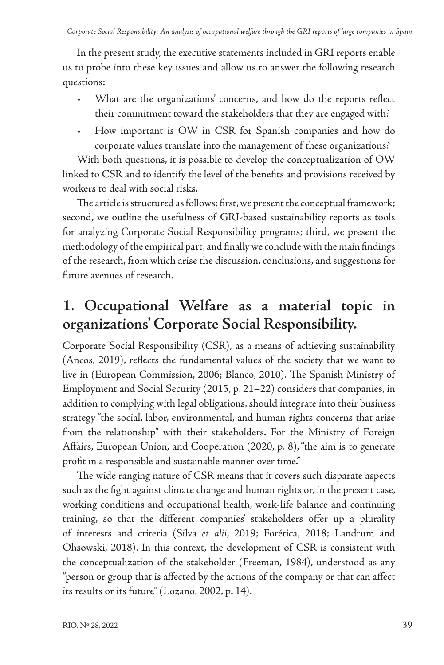In the present study, the executive statements included in GRI reports enable us to probe into these key issues and allow us to answer the following research questions:

- What are the organizations' concerns, and how do the reports reflect their commitment toward the stakeholders that they are engaged with?
- How important is OW in CSR for Spanish companies and how do corporate values translate into the management of these organizations?

With both questions, it is possible to develop the conceptualization of OW linked to CSR and to identify the level of the benefits and provisions received by workers to deal with social risks.

The article is structured as follows: first, we present the conceptual framework; second, we outline the usefulness of GRI-based sustainability reports as tools for analyzing Corporate Social Responsibility programs; third, we present the methodology of the empirical part; and finally we conclude with the main findings of the research, from which arise the discussion, conclusions, and suggestions for future avenues of research.

### **1. Occupational Welfare as a material topic in organizations' Corporate Social Responsibility.**

Corporate Social Responsibility (CSR), as a means of achieving sustainability (Ancos, 2019), reflects the fundamental values of the society that we want to live in (European Commission, 2006; Blanco, 2010). The Spanish Ministry of Employment and Social Security (2015, p. 21–22) considers that companies, in addition to complying with legal obligations, should integrate into their business strategy "the social, labor, environmental, and human rights concerns that arise from the relationship" with their stakeholders. For the Ministry of Foreign Affairs, European Union, and Cooperation (2020, p. 8), "the aim is to generate profit in a responsible and sustainable manner over time."

The wide ranging nature of CSR means that it covers such disparate aspects such as the fight against climate change and human rights or, in the present case, working conditions and occupational health, work-life balance and continuing training, so that the different companies' stakeholders offer up a plurality of interests and criteria (Silva *et alii*, 2019; Forética, 2018; Landrum and Ohsowski, 2018). In this context, the development of CSR is consistent with the conceptualization of the stakeholder (Freeman, 1984), understood as any "person or group that is affected by the actions of the company or that can affect its results or its future" (Lozano, 2002, p. 14).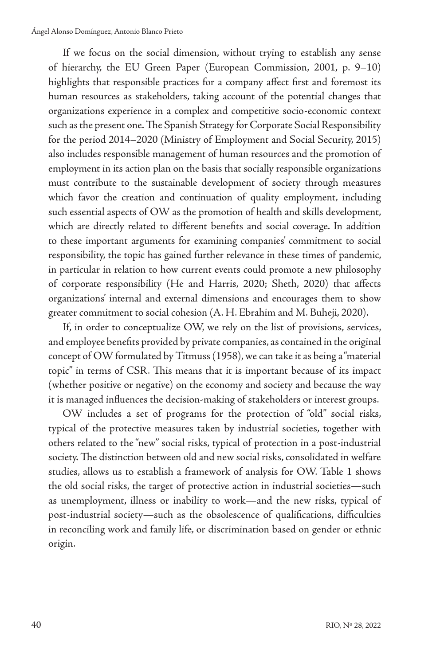If we focus on the social dimension, without trying to establish any sense of hierarchy, the EU Green Paper (European Commission, 2001, p. 9–10) highlights that responsible practices for a company affect first and foremost its human resources as stakeholders, taking account of the potential changes that organizations experience in a complex and competitive socio-economic context such as the present one. The Spanish Strategy for Corporate Social Responsibility for the period 2014–2020 (Ministry of Employment and Social Security, 2015) also includes responsible management of human resources and the promotion of employment in its action plan on the basis that socially responsible organizations must contribute to the sustainable development of society through measures which favor the creation and continuation of quality employment, including such essential aspects of OW as the promotion of health and skills development, which are directly related to different benefits and social coverage. In addition to these important arguments for examining companies' commitment to social responsibility, the topic has gained further relevance in these times of pandemic, in particular in relation to how current events could promote a new philosophy of corporate responsibility (He and Harris, 2020; Sheth, 2020) that affects organizations' internal and external dimensions and encourages them to show greater commitment to social cohesion (A. H. Ebrahim and M. Buheji, 2020).

If, in order to conceptualize OW, we rely on the list of provisions, services, and employee benefits provided by private companies, as contained in the original concept of OW formulated by Titmuss (1958), we can take it as being a "material topic" in terms of CSR. This means that it is important because of its impact (whether positive or negative) on the economy and society and because the way it is managed influences the decision-making of stakeholders or interest groups.

OW includes a set of programs for the protection of "old" social risks, typical of the protective measures taken by industrial societies, together with others related to the "new" social risks, typical of protection in a post-industrial society. The distinction between old and new social risks, consolidated in welfare studies, allows us to establish a framework of analysis for OW. Table 1 shows the old social risks, the target of protective action in industrial societies—such as unemployment, illness or inability to work—and the new risks, typical of post-industrial society—such as the obsolescence of qualifications, difficulties in reconciling work and family life, or discrimination based on gender or ethnic origin.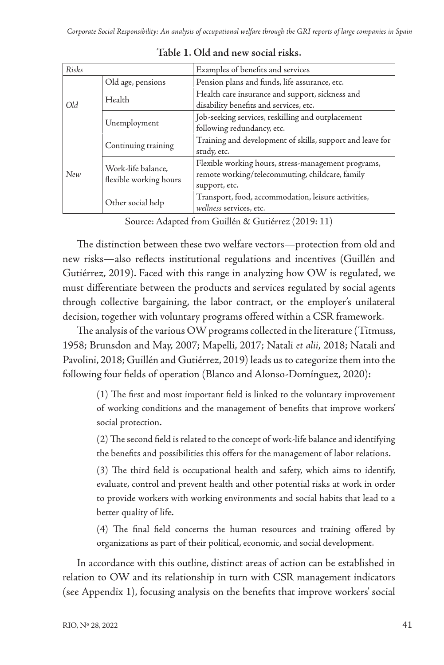| Risks |                                              | Examples of benefits and services                                                                                       |  |  |
|-------|----------------------------------------------|-------------------------------------------------------------------------------------------------------------------------|--|--|
| Old   | Old age, pensions                            | Pension plans and funds, life assurance, etc.                                                                           |  |  |
|       | Health                                       | Health care insurance and support, sickness and<br>disability benefits and services, etc.                               |  |  |
|       | Unemployment                                 | Job-seeking services, reskilling and outplacement<br>following redundancy, etc.                                         |  |  |
| New   | Continuing training                          | Training and development of skills, support and leave for<br>study, etc.                                                |  |  |
|       | Work-life balance,<br>flexible working hours | Flexible working hours, stress-management programs,<br>remote working/telecommuting, childcare, family<br>support, etc. |  |  |
|       | Other social help                            | Transport, food, accommodation, leisure activities,<br>wellness services, etc.                                          |  |  |

**Table 1. Old and new social risks.**

Source: Adapted from Guillén & Gutiérrez (2019: 11)

The distinction between these two welfare vectors—protection from old and new risks—also reflects institutional regulations and incentives (Guillén and Gutiérrez, 2019). Faced with this range in analyzing how OW is regulated, we must differentiate between the products and services regulated by social agents through collective bargaining, the labor contract, or the employer's unilateral decision, together with voluntary programs offered within a CSR framework.

The analysis of the various OW programs collected in the literature (Titmuss, 1958; Brunsdon and May, 2007; Mapelli, 2017; Natali *et alii*, 2018; Natali and Pavolini, 2018; Guillén and Gutiérrez, 2019) leads us to categorize them into the following four fields of operation (Blanco and Alonso-Domínguez, 2020):

> (1) The first and most important field is linked to the voluntary improvement of working conditions and the management of benefits that improve workers' social protection.

> (2) The second field is related to the concept of work-life balance and identifying the benefits and possibilities this offers for the management of labor relations.

> (3) The third field is occupational health and safety, which aims to identify, evaluate, control and prevent health and other potential risks at work in order to provide workers with working environments and social habits that lead to a better quality of life.

> (4) The final field concerns the human resources and training offered by organizations as part of their political, economic, and social development.

In accordance with this outline, distinct areas of action can be established in relation to OW and its relationship in turn with CSR management indicators (see Appendix 1), focusing analysis on the benefits that improve workers' social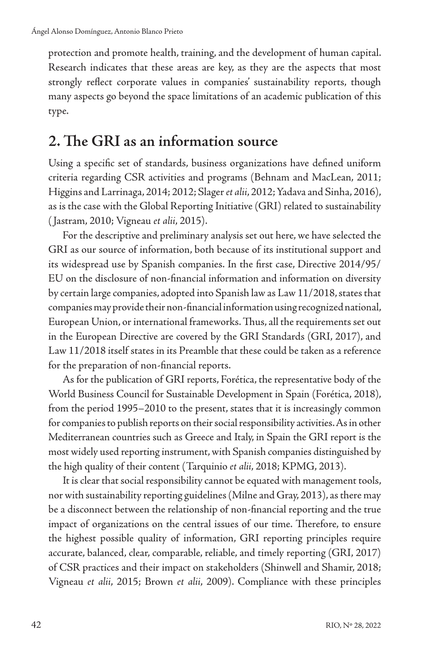protection and promote health, training, and the development of human capital. Research indicates that these areas are key, as they are the aspects that most strongly reflect corporate values in companies' sustainability reports, though many aspects go beyond the space limitations of an academic publication of this type.

#### **2. The GRI as an information source**

Using a specific set of standards, business organizations have defined uniform criteria regarding CSR activities and programs (Behnam and MacLean, 2011; Higgins and Larrinaga, 2014; 2012; Slager *et alii*, 2012; Yadava and Sinha, 2016), as is the case with the Global Reporting Initiative (GRI) related to sustainability ( Jastram, 2010; Vigneau *et alii*, 2015).

For the descriptive and preliminary analysis set out here, we have selected the GRI as our source of information, both because of its institutional support and its widespread use by Spanish companies. In the first case, Directive 2014/95/ EU on the disclosure of non-financial information and information on diversity by certain large companies, adopted into Spanish law as Law 11/2018, states that companies may provide their non-financial information using recognized national, European Union, or international frameworks. Thus, all the requirements set out in the European Directive are covered by the GRI Standards (GRI, 2017), and Law 11/2018 itself states in its Preamble that these could be taken as a reference for the preparation of non-financial reports.

As for the publication of GRI reports, Forética, the representative body of the World Business Council for Sustainable Development in Spain (Forética, 2018), from the period 1995–2010 to the present, states that it is increasingly common for companies to publish reports on their social responsibility activities. As in other Mediterranean countries such as Greece and Italy, in Spain the GRI report is the most widely used reporting instrument, with Spanish companies distinguished by the high quality of their content (Tarquinio *et alii*, 2018; KPMG, 2013).

It is clear that social responsibility cannot be equated with management tools, nor with sustainability reporting guidelines (Milne and Gray, 2013), as there may be a disconnect between the relationship of non-financial reporting and the true impact of organizations on the central issues of our time. Therefore, to ensure the highest possible quality of information, GRI reporting principles require accurate, balanced, clear, comparable, reliable, and timely reporting (GRI, 2017) of CSR practices and their impact on stakeholders (Shinwell and Shamir, 2018; Vigneau *et alii*, 2015; Brown *et alii*, 2009). Compliance with these principles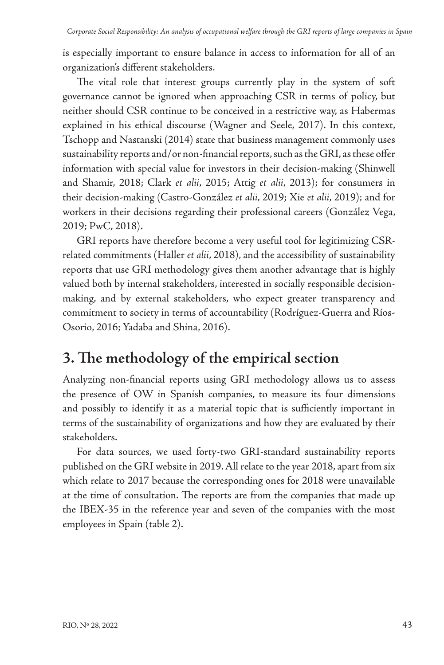is especially important to ensure balance in access to information for all of an organization's different stakeholders.

The vital role that interest groups currently play in the system of soft governance cannot be ignored when approaching CSR in terms of policy, but neither should CSR continue to be conceived in a restrictive way, as Habermas explained in his ethical discourse (Wagner and Seele, 2017). In this context, Tschopp and Nastanski (2014) state that business management commonly uses sustainability reports and/or non-financial reports, such as the GRI, as these offer information with special value for investors in their decision-making (Shinwell and Shamir, 2018; Clark *et alii*, 2015; Attig *et alii*, 2013); for consumers in their decision-making (Castro-González *et alii*, 2019; Xie *et alii*, 2019); and for workers in their decisions regarding their professional careers (González Vega, 2019; PwC, 2018).

GRI reports have therefore become a very useful tool for legitimizing CSRrelated commitments (Haller *et alii*, 2018), and the accessibility of sustainability reports that use GRI methodology gives them another advantage that is highly valued both by internal stakeholders, interested in socially responsible decisionmaking, and by external stakeholders, who expect greater transparency and commitment to society in terms of accountability (Rodríguez-Guerra and Ríos-Osorio, 2016; Yadaba and Shina, 2016).

# **3. The methodology of the empirical section**

Analyzing non-financial reports using GRI methodology allows us to assess the presence of OW in Spanish companies, to measure its four dimensions and possibly to identify it as a material topic that is sufficiently important in terms of the sustainability of organizations and how they are evaluated by their stakeholders.

For data sources, we used forty-two GRI-standard sustainability reports published on the GRI website in 2019. All relate to the year 2018, apart from six which relate to 2017 because the corresponding ones for 2018 were unavailable at the time of consultation. The reports are from the companies that made up the IBEX-35 in the reference year and seven of the companies with the most employees in Spain (table 2).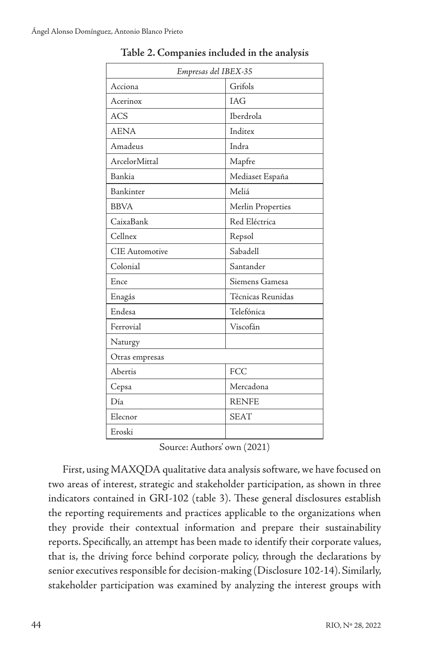| Empresas del IBEX-35 |  |  |  |  |  |  |
|----------------------|--|--|--|--|--|--|
| Grifols              |  |  |  |  |  |  |
| <b>IAG</b>           |  |  |  |  |  |  |
| Iberdrola            |  |  |  |  |  |  |
| Inditex              |  |  |  |  |  |  |
| Indra                |  |  |  |  |  |  |
| Mapfre               |  |  |  |  |  |  |
| Mediaset España      |  |  |  |  |  |  |
| Meliá                |  |  |  |  |  |  |
| Merlin Properties    |  |  |  |  |  |  |
| Red Eléctrica        |  |  |  |  |  |  |
| Repsol               |  |  |  |  |  |  |
| Sabadell             |  |  |  |  |  |  |
| Santander            |  |  |  |  |  |  |
| Siemens Gamesa       |  |  |  |  |  |  |
| Técnicas Reunidas    |  |  |  |  |  |  |
| Telefónica           |  |  |  |  |  |  |
| Viscofán             |  |  |  |  |  |  |
|                      |  |  |  |  |  |  |
|                      |  |  |  |  |  |  |
| <b>FCC</b>           |  |  |  |  |  |  |
| Mercadona            |  |  |  |  |  |  |
| <b>RENFE</b>         |  |  |  |  |  |  |
| <b>SEAT</b>          |  |  |  |  |  |  |
|                      |  |  |  |  |  |  |
|                      |  |  |  |  |  |  |

**Table 2. Companies included in the analysis**

Source: Authors' own (2021)

First, using MAXQDA qualitative data analysis software, we have focused on two areas of interest, strategic and stakeholder participation, as shown in three indicators contained in GRI-102 (table 3). These general disclosures establish the reporting requirements and practices applicable to the organizations when they provide their contextual information and prepare their sustainability reports. Specifically, an attempt has been made to identify their corporate values, that is, the driving force behind corporate policy, through the declarations by senior executives responsible for decision-making (Disclosure 102-14). Similarly, stakeholder participation was examined by analyzing the interest groups with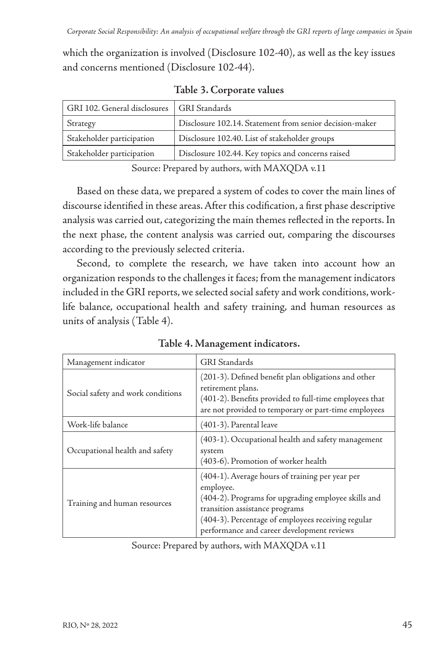which the organization is involved (Disclosure 102-40), as well as the key issues and concerns mentioned (Disclosure 102-44).

| GRI 102. General disclosures | <b>GRI</b> Standards                                    |  |  |
|------------------------------|---------------------------------------------------------|--|--|
| Strategy                     | Disclosure 102.14. Statement from senior decision-maker |  |  |
| Stakeholder participation    | Disclosure 102.40. List of stakeholder groups           |  |  |
| Stakeholder participation    | Disclosure 102.44. Key topics and concerns raised       |  |  |

**Table 3. Corporate values**

Source: Prepared by authors, with MAXQDA v.11

Based on these data, we prepared a system of codes to cover the main lines of discourse identified in these areas. After this codification, a first phase descriptive analysis was carried out, categorizing the main themes reflected in the reports. In the next phase, the content analysis was carried out, comparing the discourses according to the previously selected criteria.

Second, to complete the research, we have taken into account how an organization responds to the challenges it faces; from the management indicators included in the GRI reports, we selected social safety and work conditions, worklife balance, occupational health and safety training, and human resources as units of analysis (Table 4).

| Management indicator              | <b>GRI</b> Standards                                                                                                                                                                                                                                      |  |  |
|-----------------------------------|-----------------------------------------------------------------------------------------------------------------------------------------------------------------------------------------------------------------------------------------------------------|--|--|
| Social safety and work conditions | (201-3). Defined benefit plan obligations and other<br>retirement plans.<br>(401-2). Benefits provided to full-time employees that<br>are not provided to temporary or part-time employees                                                                |  |  |
| Work-life balance                 | (401-3). Parental leave                                                                                                                                                                                                                                   |  |  |
| Occupational health and safety    | (403-1). Occupational health and safety management<br>system<br>(403-6). Promotion of worker health                                                                                                                                                       |  |  |
| Training and human resources      | (404-1). Average hours of training per year per<br>employee.<br>(404-2). Programs for upgrading employee skills and<br>transition assistance programs<br>(404-3). Percentage of employees receiving regular<br>performance and career development reviews |  |  |

**Table 4. Management indicators.**

Source: Prepared by authors, with MAXQDA v.11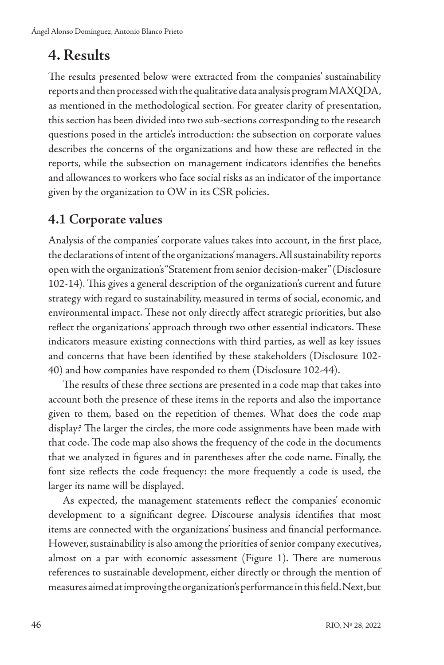# **4. Results**

The results presented below were extracted from the companies' sustainability reports and then processed with the qualitative data analysis program MAXQDA, as mentioned in the methodological section. For greater clarity of presentation, this section has been divided into two sub-sections corresponding to the research questions posed in the article's introduction: the subsection on corporate values describes the concerns of the organizations and how these are reflected in the reports, while the subsection on management indicators identifies the benefits and allowances to workers who face social risks as an indicator of the importance given by the organization to OW in its CSR policies.

#### **4.1 Corporate values**

Analysis of the companies' corporate values takes into account, in the first place, the declarations of intent of the organizations' managers. All sustainability reports open with the organization's "Statement from senior decision-maker" (Disclosure 102-14). This gives a general description of the organization's current and future strategy with regard to sustainability, measured in terms of social, economic, and environmental impact. These not only directly affect strategic priorities, but also reflect the organizations' approach through two other essential indicators. These indicators measure existing connections with third parties, as well as key issues and concerns that have been identified by these stakeholders (Disclosure 102- 40) and how companies have responded to them (Disclosure 102-44).

The results of these three sections are presented in a code map that takes into account both the presence of these items in the reports and also the importance given to them, based on the repetition of themes. What does the code map display? The larger the circles, the more code assignments have been made with that code. The code map also shows the frequency of the code in the documents that we analyzed in figures and in parentheses after the code name. Finally, the font size reflects the code frequency: the more frequently a code is used, the larger its name will be displayed.

As expected, the management statements reflect the companies' economic development to a significant degree. Discourse analysis identifies that most items are connected with the organizations' business and financial performance. However, sustainability is also among the priorities of senior company executives, almost on a par with economic assessment (Figure 1). There are numerous references to sustainable development, either directly or through the mention of measures aimed at improving the organization's performance in this field. Next, but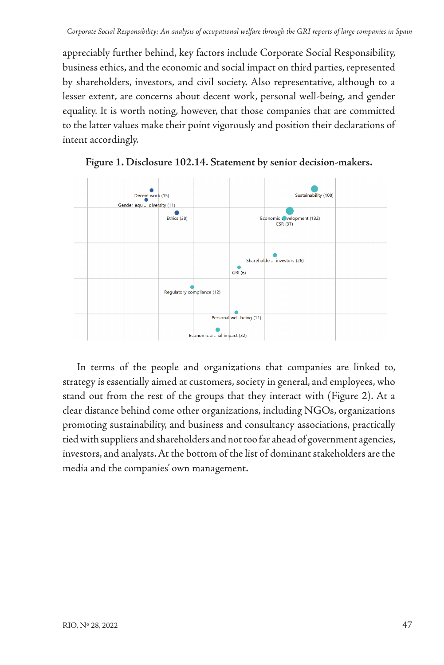appreciably further behind, key factors include Corporate Social Responsibility, business ethics, and the economic and social impact on third parties, represented by shareholders, investors, and civil society. Also representative, although to a lesser extent, are concerns about decent work, personal well-being, and gender equality. It is worth noting, however, that those companies that are committed to the latter values make their point vigorously and position their declarations of intent accordingly.





strategy is essentially aimed at customers, society in general, and employees, who In terms of the people and organizations that companies are linked to, stand out from the rest of the groups that they interact with (Figure 2). At a clear distance behind come other organizations, including NGOs, organizations promoting sustainability, and business and consultancy associations, practically tied with suppliers and shareholders and not too far ahead of government agencies, investors, and analysts. At the bottom of the list of dominant stakeholders are the media and the companies' own management.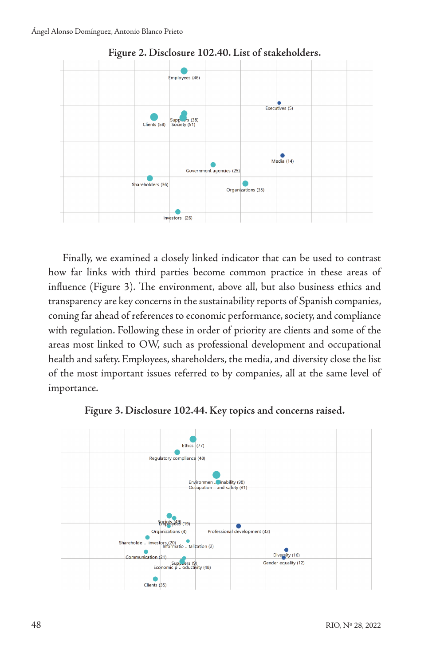

#### **Figure 2. Disclosure 102.40. List of stakeholders. Figure 2. Disclosure 102.40. List of stakeholders.**

Finally, we examined a closely linked indicator that can be used to contrast how far links with third parties become common practice in these areas of influence (Figure 3). The environment, above all, but also business ethics and transparency are key concerns in the sustainability reports of Spanish companies, coming far ahead of references to economic performance, society, and compliance with regulation. Following these in order of priority are clients and some of the areas most linked to OW, such as professional development and occupational health and safety. Employees, shareholders, the media, and diversity close the list of the most important issues referred to by companies, all at the same level of importance.



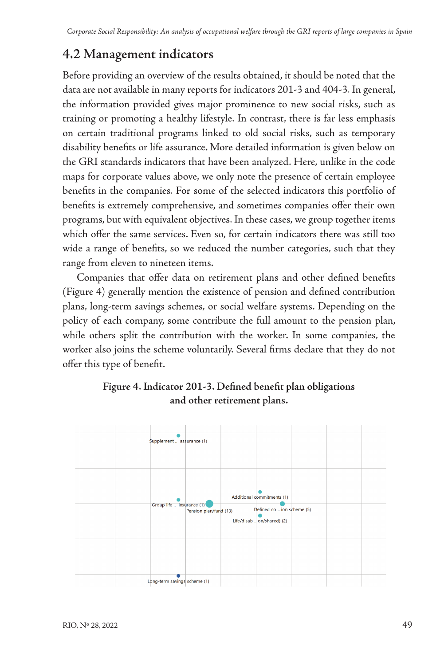#### **4.2 Management indicators**

Before providing an overview of the results obtained, it should be noted that the data are not available in many reports for indicators 201-3 and 404-3. In general, the information provided gives major prominence to new social risks, such as training or promoting a healthy lifestyle. In contrast, there is far less emphasis on certain traditional programs linked to old social risks, such as temporary disability benefits or life assurance. More detailed information is given below on the GRI standards indicators that have been analyzed. Here, unlike in the code maps for corporate values above, we only note the presence of certain employee benefits in the companies. For some of the selected indicators this portfolio of benefits is extremely comprehensive, and sometimes companies offer their own programs, but with equivalent objectives. In these cases, we group together items which offer the same services. Even so, for certain indicators there was still too wide a range of benefits, so we reduced the number categories, such that they range from eleven to nineteen items.

Companies that offer data on retirement plans and other defined benefits (Figure 4) generally mention the existence of pension and defined contribution plans, long-term savings schemes, or social welfare systems. Depending on the policy of each company, some contribute the full amount to the pension plan, while others split the contribution with the worker. In some companies, the worker also joins the scheme voluntarily. Several firms declare that they do not offer this type of benefit.



**Figure 4. Indicator 201-3. Defined benefit plan obligations and other retirement plans.**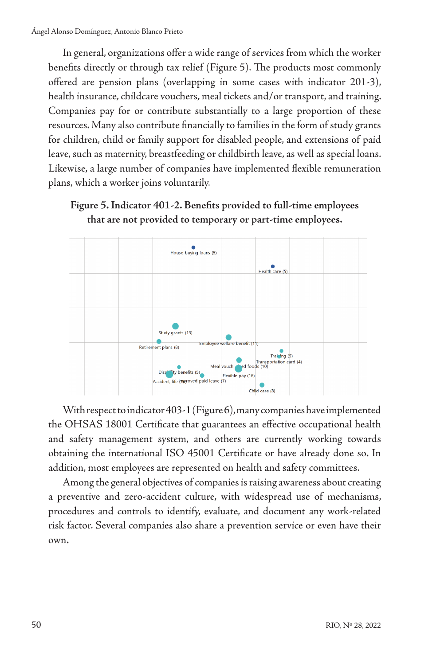In general, organizations offer a wide range of services from which the worker benefits directly or through tax relief (Figure 5). The products most commonly offered are pension plans (overlapping in some cases with indicator 201-3), health insurance, childcare vouchers, meal tickets and/or transport, and training. Companies pay for or contribute substantially to a large proportion of these resources. Many also contribute financially to families in the form of study grants for children, child or family support for disabled people, and extensions of paid leave, such as maternity, breastfeeding or childbirth leave, as well as special loans. Likewise, a large number of companies have implemented flexible remuneration plans, which a worker joins voluntarily.





 $\text{With respect to indicator 403-1 (Figure 6), many companies have implemented}$ the OHSAS 18001 Certificate that guarantees an effective occupational health and safety management system, and others are currently working towards obtaining the international ISO 45001 Certificate or have already done so. In addition, most employees are represented on health and safety committees.

Among the general objectives of companies is raising awareness about creating a preventive and zero-accident culture, with widespread use of mechanisms, procedures and controls to identify, evaluate, and document any work-related risk factor. Several companies also share a prevention service or even have their own.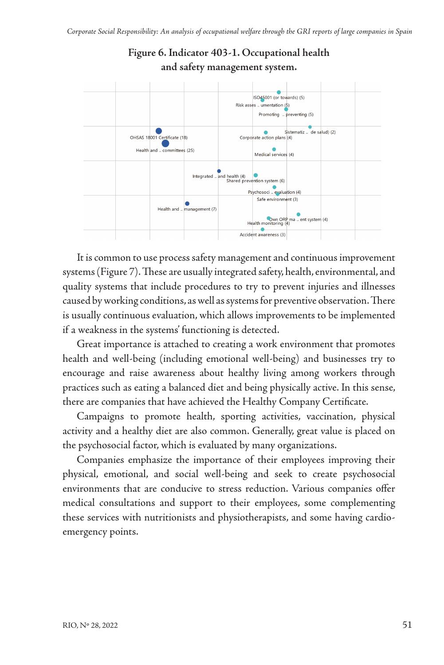**Figure 6. Indicator 403-1. Occupational health** 



It is common to use process safety management and continuous improvement systems (Figure 7). These are usually integrated safety, health, environmental, and quality systems that include procedures to try to prevent injuries and illnesses caused by working conditions, as well as systems for preventive observation. There is usually continuous evaluation, which allows improvements to be implemented if a weakness in the systems' functioning is detected.

Great importance is attached to creating a work environment that promotes health and well-being (including emotional well-being) and businesses try to encourage and raise awareness about healthy living among workers through practices such as eating a balanced diet and being physically active. In this sense, there are companies that have achieved the Healthy Company Certificate.

Campaigns to promote health, sporting activities, vaccination, physical activity and a healthy diet are also common. Generally, great value is placed on the psychosocial factor, which is evaluated by many organizations.

Companies emphasize the importance of their employees improving their physical, emotional, and social well-being and seek to create psychosocial environments that are conducive to stress reduction. Various companies offer medical consultations and support to their employees, some complementing these services with nutritionists and physiotherapists, and some having cardioemergency points.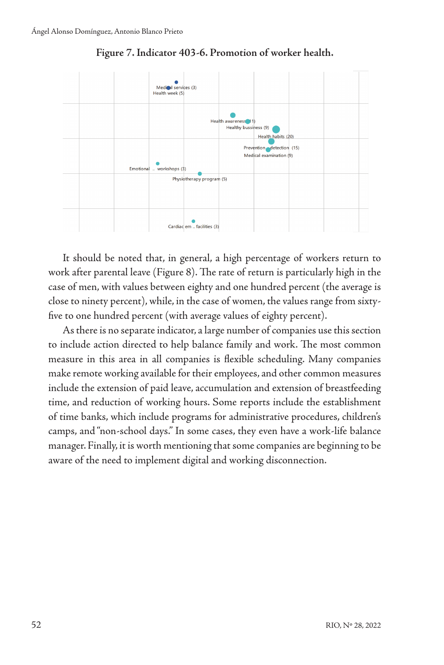

**Figure 7. Indicator 403-6. Promotion of worker health.**

**Figure 8. Indicator 404-1. Parental leave.** work after parental leave (Figure 8). The rate of return is particularly high in the It should be noted that, in general, a high percentage of workers return to case of men, with values between eighty and one hundred percent (the average is close to ninety percent), while, in the case of women, the values range from sixtyfive to one hundred percent (with average values of eighty percent).

As there is no separate indicator, a large number of companies use this section to include action directed to help balance family and work. The most common measure in this area in all companies is flexible scheduling. Many companies make remote working available for their employees, and other common measures include the extension of paid leave, accumulation and extension of breastfeeding time, and reduction of working hours. Some reports include the establishment of time banks, which include programs for administrative procedures, children's camps, and "non-school days." In some cases, they even have a work-life balance manager. Finally, it is worth mentioning that some companies are beginning to be aware of the need to implement digital and working disconnection.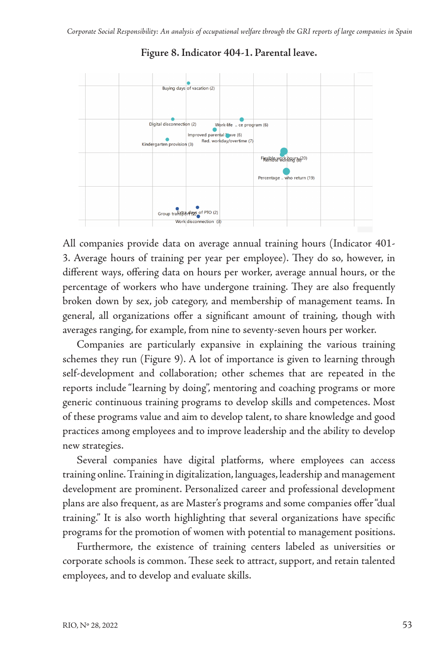

**Figure 8. Indicator 404-1. Parental leave.**

All companies provide data on average annual training hours (Indicator 401- 3. Average hours of training per year per employee). They do so, however, in different ways, offering data on hours per worker, average annual hours, or the percentage of workers who have undergone training. They are also frequently broken down by sex, job category, and membership of management teams. In general, all organizations offer a significant amount of training, though with averages ranging, for example, from nine to seventy-seven hours per worker.

Companies are particularly expansive in explaining the various training schemes they run (Figure 9). A lot of importance is given to learning through self-development and collaboration; other schemes that are repeated in the reports include "learning by doing", mentoring and coaching programs or more generic continuous training programs to develop skills and competences. Most of these programs value and aim to develop talent, to share knowledge and good practices among employees and to improve leadership and the ability to develop new strategies.

Several companies have digital platforms, where employees can access training online. Training in digitalization, languages, leadership and management development are prominent. Personalized career and professional development plans are also frequent, as are Master's programs and some companies offer "dual training." It is also worth highlighting that several organizations have specific programs for the promotion of women with potential to management positions.

Furthermore, the existence of training centers labeled as universities or corporate schools is common. These seek to attract, support, and retain talented employees, and to develop and evaluate skills.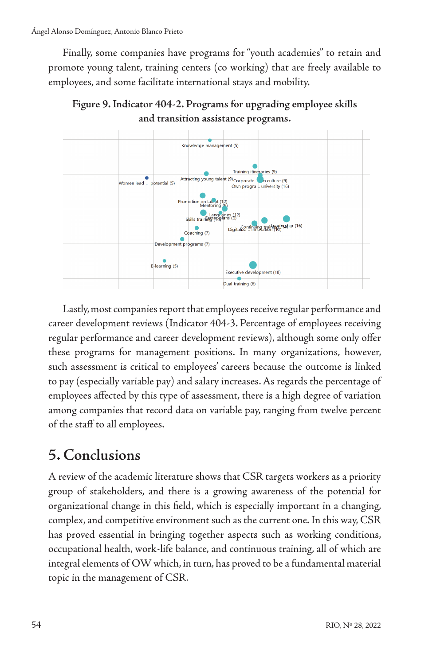Finally, some companies have programs for "youth academies" to retain and promote young talent, training centers (co working) that are freely available to employees, and some facilitate international stays and mobility.





Lastly, most companies report that employees receive regular performance and career development reviews (Indicator 404-3. Percentage of employees receiving regular performance and career development reviews), although some only offer these programs for management positions. In many organizations, however, such assessment is critical to employees' careers because the outcome is linked to pay (especially variable pay) and salary increases. As regards the percentage of employees affected by this type of assessment, there is a high degree of variation among companies that record data on variable pay, ranging from twelve percent of the staff to all employees.

# **5. Conclusions**

A review of the academic literature shows that CSR targets workers as a priority group of stakeholders, and there is a growing awareness of the potential for organizational change in this field, which is especially important in a changing, complex, and competitive environment such as the current one. In this way, CSR has proved essential in bringing together aspects such as working conditions, occupational health, work-life balance, and continuous training, all of which are integral elements of OW which, in turn, has proved to be a fundamental material topic in the management of CSR.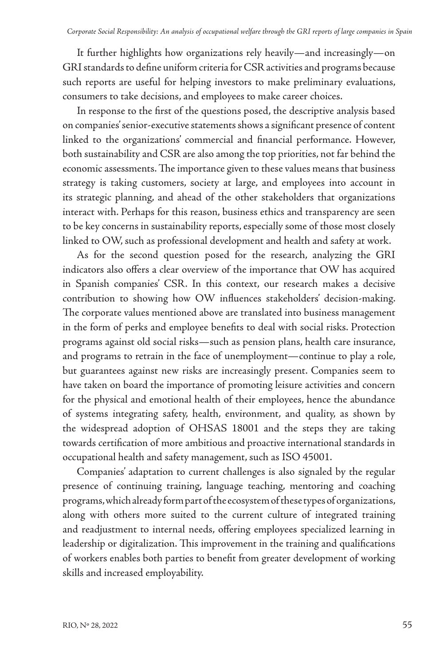It further highlights how organizations rely heavily—and increasingly—on GRI standards to define uniform criteria for CSR activities and programs because such reports are useful for helping investors to make preliminary evaluations, consumers to take decisions, and employees to make career choices.

In response to the first of the questions posed, the descriptive analysis based on companies' senior-executive statements shows a significant presence of content linked to the organizations' commercial and financial performance. However, both sustainability and CSR are also among the top priorities, not far behind the economic assessments. The importance given to these values means that business strategy is taking customers, society at large, and employees into account in its strategic planning, and ahead of the other stakeholders that organizations interact with. Perhaps for this reason, business ethics and transparency are seen to be key concerns in sustainability reports, especially some of those most closely linked to OW, such as professional development and health and safety at work.

As for the second question posed for the research, analyzing the GRI indicators also offers a clear overview of the importance that OW has acquired in Spanish companies' CSR. In this context, our research makes a decisive contribution to showing how OW influences stakeholders' decision-making. The corporate values mentioned above are translated into business management in the form of perks and employee benefits to deal with social risks. Protection programs against old social risks—such as pension plans, health care insurance, and programs to retrain in the face of unemployment—continue to play a role, but guarantees against new risks are increasingly present. Companies seem to have taken on board the importance of promoting leisure activities and concern for the physical and emotional health of their employees, hence the abundance of systems integrating safety, health, environment, and quality, as shown by the widespread adoption of OHSAS 18001 and the steps they are taking towards certification of more ambitious and proactive international standards in occupational health and safety management, such as ISO 45001.

Companies' adaptation to current challenges is also signaled by the regular presence of continuing training, language teaching, mentoring and coaching programs, which already form part of the ecosystem of these types of organizations, along with others more suited to the current culture of integrated training and readjustment to internal needs, offering employees specialized learning in leadership or digitalization. This improvement in the training and qualifications of workers enables both parties to benefit from greater development of working skills and increased employability.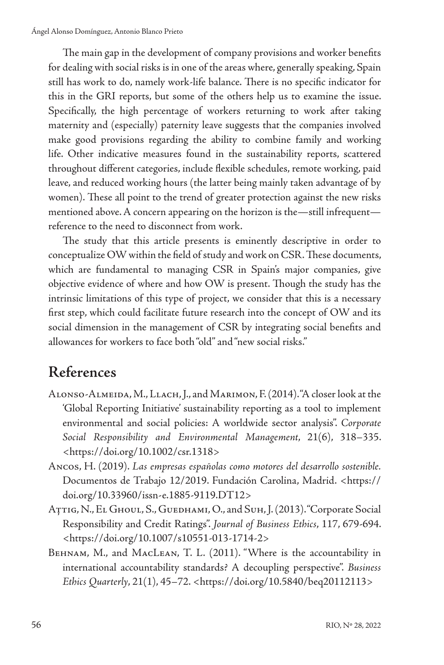The main gap in the development of company provisions and worker benefits for dealing with social risks is in one of the areas where, generally speaking, Spain still has work to do, namely work-life balance. There is no specific indicator for this in the GRI reports, but some of the others help us to examine the issue. Specifically, the high percentage of workers returning to work after taking maternity and (especially) paternity leave suggests that the companies involved make good provisions regarding the ability to combine family and working life. Other indicative measures found in the sustainability reports, scattered throughout different categories, include flexible schedules, remote working, paid leave, and reduced working hours (the latter being mainly taken advantage of by women). These all point to the trend of greater protection against the new risks mentioned above. A concern appearing on the horizon is the—still infrequent reference to the need to disconnect from work.

The study that this article presents is eminently descriptive in order to conceptualize OW within the field of study and work on CSR. These documents, which are fundamental to managing CSR in Spain's major companies, give objective evidence of where and how OW is present. Though the study has the intrinsic limitations of this type of project, we consider that this is a necessary first step, which could facilitate future research into the concept of OW and its social dimension in the management of CSR by integrating social benefits and allowances for workers to face both "old" and "new social risks."

# **References**

- Alonso-Almeida, M., Llach, J., and Marimon, F. (2014). "A closer look at the 'Global Reporting Initiative' sustainability reporting as a tool to implement environmental and social policies: A worldwide sector analysis". *Corporate Social Responsibility and Environmental Management*, 21(6), 318–335. [<https://doi.org/10.1002/csr.1318](https://doi.org/10.1002/csr.1318)>
- Ancos, H. (2019). *Las empresas españolas como motores del desarrollo sostenible.*  Documentos de Trabajo 12/2019. Fundación Carolina, Madrid. <[https://](https://doi.org/10.33960/issn-e.1885-9119.DT12) [doi.org/10.33960/issn-e.1885-9119.DT12](https://doi.org/10.33960/issn-e.1885-9119.DT12)>
- Aттіg, N., El Ghoul, S., Guedhami, O., and Suh, J. (2013). "Corporate Social Responsibility and Credit Ratings". *Journal of Business Ethics*, 117, 679-694. [<https://doi.org/10.1007/s10551-013-1714-2>](https://doi.org/10.1007/s10551-013-1714-2)
- Behnam, M., and MacLean, T. L. (2011). "Where is the accountability in international accountability standards? A decoupling perspective". *Business Ethics Quarterly*, 21(1), 45–72. [<https://doi.org/10.5840/beq20112113](https://doi.org/10.5840/beq20112113)>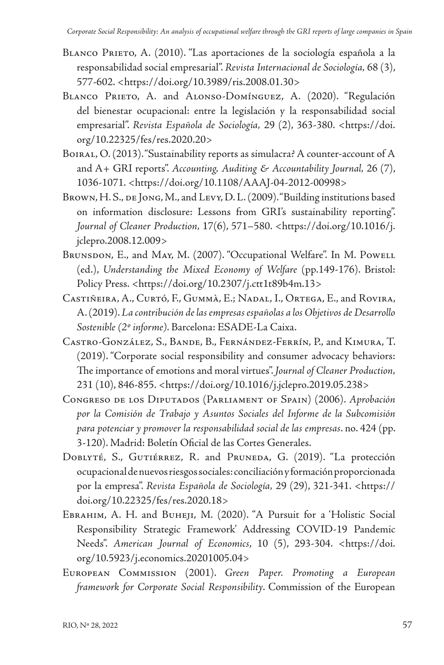- Blanco Prieto, A. (2010). "Las aportaciones de la sociología española a la responsabilidad social empresarial". *Revista Internacional de Sociología,* 68 (3), 577-602. <[https://doi.org/10.3989/ris.2008.01.30>](https://doi.org/10.3989/ris.2008.01.30)
- BLANCO PRIETO, A. and ALONSO-DOMÍNGUEZ, A. (2020). "Regulación del bienestar ocupacional: entre la legislación y la responsabilidad social empresarial". *Revista Española de Sociología,* 29 (2), 363-380. [<https://doi.](https://doi.org/10.22325/fes/res.2020.20) [org/10.22325/fes/res.2020.20](https://doi.org/10.22325/fes/res.2020.20)>
- BOIRAL, O. (2013). "Sustainability reports as simulacra? A counter-account of A and A+ GRI reports". *Accounting, Auditing & Accountability Journal,* 26 (7), 1036-1071. <<https://doi.org/10.1108/AAAJ-04-2012-00998>>
- BROWN, H. S., DE JONG, M., and LEVY, D. L. (2009). "Building institutions based on information disclosure: Lessons from GRI's sustainability reporting". *Journal of Cleaner Production,* 17(6), 571–580. [<https://doi.org/10.1016/j.](https://doi.org/10.1016/j.jclepro.2008.12.009) [jclepro.2008.12.009](https://doi.org/10.1016/j.jclepro.2008.12.009)>
- BRUNSDON, E., and MAY, M. (2007). "Occupational Welfare". In M. Powell (ed.), *Understanding the Mixed Economy of Welfare* (pp.149-176). Bristol: Policy Press. [<https://doi.org/10.2307/j.ctt1t89b4m.13](https://doi.org/10.2307/j.ctt1t89b4m.13)>
- Castiñeira, A., Curtó, F., Gummà, E.; Nadal, I., Ortega, E., and Rovira, A. (2019). *La contribución de las empresas españolas a los Objetivos de Desarrollo Sostenible (2º informe)*. Barcelona: ESADE-La Caixa.
- Castro-González, S., Bande, B., Fernández-Ferrín, P., and Kimura, T. (2019). "Corporate social responsibility and consumer advocacy behaviors: The importance of emotions and moral virtues". *Journal of Cleaner Production,* 231 (10), 846-855. [<https://doi.org/10.1016/j.jclepro.2019.05.238](https://doi.org/10.1016/j.jclepro.2019.05.238)>
- Congreso de los Diputados (Parliament of Spain) (2006). *Aprobación por la Comisión de Trabajo y Asuntos Sociales del Informe de la Subcomisión para potenciar y promover la responsabilidad social de las empresas*. no. 424 (pp. 3-120). Madrid: Boletín Oficial de las Cortes Generales.
- Doblyté, S., Gutiérrez, R. and Pruneda, G. (2019). "La protección ocupacional de nuevos riesgos sociales: conciliación y formación proporcionada por la empresa". *Revista Española de Sociología,* 29 (29), 321-341. [<https://](https://doi.org/10.22325/fes/res.2020.18) [doi.org/10.22325/fes/res.2020.18](https://doi.org/10.22325/fes/res.2020.18)>
- Ebrahim, A. H. and Buheji, M. (2020). "A Pursuit for a 'Holistic Social Responsibility Strategic Framework' Addressing COVID-19 Pandemic Needs". *American Journal of Economics*, 10 (5), 293-304. [<https://doi.](https://doi.org/10.5923/j.economics.20201005.04) [org/10.5923/j.economics.20201005.04](https://doi.org/10.5923/j.economics.20201005.04)>
- European Commission (2001). *Green Paper. Promoting a European framework for Corporate Social Responsibility*. Commission of the European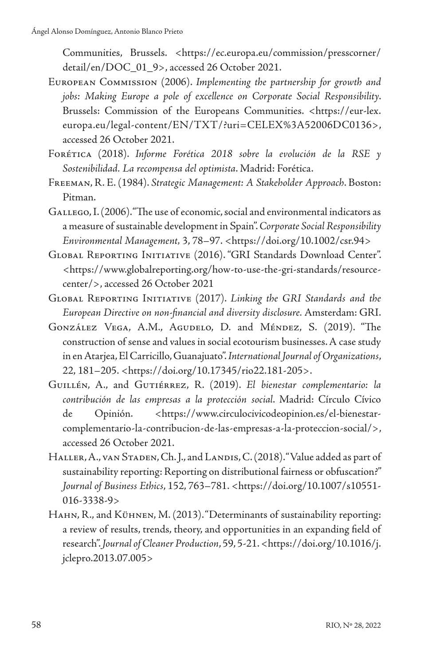Communities, Brussels. [<https://ec.europa.eu/commission/presscorner/](https://ec.europa.eu/commission/presscorner/detail/en/DOC_01_9) [detail/en/DOC\\_01\\_9>](https://ec.europa.eu/commission/presscorner/detail/en/DOC_01_9), accessed 26 October 2021.

- European Commission (2006). *Implementing the partnership for growth and jobs: Making Europe a pole of excellence on Corporate Social Responsibility*. Brussels: Commission of the Europeans Communities. <[https://eur-lex.](https://eur-lex.europa.eu/legal-content/EN/TXT/?uri=CELEX%3A52006DC0136) [europa.eu/legal-content/EN/TXT/?uri=CELEX%3A52006DC0136>](https://eur-lex.europa.eu/legal-content/EN/TXT/?uri=CELEX%3A52006DC0136), accessed 26 October 2021.
- Forética (2018). *Informe Forética 2018 sobre la evolución de la RSE y Sostenibilidad. La recompensa del optimista*. Madrid: Forética.
- Freeman, R. E. (1984). *Strategic Management: A Stakeholder Approach*. Boston: Pitman.
- Gallego, I. (2006). "The use of economic, social and environmental indicators as a measure of sustainable development in Spain". *Corporate Social Responsibility Environmental Management,* 3, 78–97. [<https://doi.org/10.1002/csr.94](https://doi.org/10.1002/csr.94)>
- Global Reporting Initiative (2016). "GRI Standards Download Center". [<https://www.globalreporting.org/how-to-use-the-gri-standards/resource](https://www.globalreporting.org/how-to-use-the-gri-standards/resource-center/)[center/>](https://www.globalreporting.org/how-to-use-the-gri-standards/resource-center/), accessed 26 October 2021
- Global Reporting Initiative (2017). *Linking the GRI Standards and the European Directive on non-financial and diversity disclosure.* Amsterdam: GRI.
- GONZÁLEZ VEGA, A.M., AGUDELO, D. and MÉNDEZ, S. (2019). "The construction of sense and values in social ecotourism businesses. A case study in en Atarjea, El Carricillo, Guanajuato". *International Journal of Organizations*, 22, 181–205. <[https://doi.org/10.17345/rio22.181-205>](https://doi.org/10.17345/rio22.181-205).
- Guillén, A., and Gutiérrez, R. (2019). *El bienestar complementario: la contribución de las empresas a la protección social*. Madrid: Círculo Cívico de Opinión. [<https://www.circulocivicodeopinion.es/el-bienestar](https://www.circulocivicodeopinion.es/el-bienestar-complementario-la-contribucion-de-las-empresas-a-la-proteccion-social/)[complementario-la-contribucion-de-las-empresas-a-la-proteccion-social/>](https://www.circulocivicodeopinion.es/el-bienestar-complementario-la-contribucion-de-las-empresas-a-la-proteccion-social/), accessed 26 October 2021.
- HALLER, A., VAN STADEN, Ch. J., and LANDIS, C. (2018). "Value added as part of sustainability reporting: Reporting on distributional fairness or obfuscation?" *Journal of Business Ethics*, 152, 763–781. <[https://doi.org/10.1007/s10551-](https://doi.org/10.1007/s10551-016-3338-9) [016-3338-9>](https://doi.org/10.1007/s10551-016-3338-9)
- HAHN, R., and KüHNEN, M. (2013). "Determinants of sustainability reporting: a review of results, trends, theory, and opportunities in an expanding field of research". *Journal of Cleaner Production*, 59, 5-21. <[https://doi.org/10.1016/j.](https://doi.org/10.1016/j.jclepro.2013.07.005) [jclepro.2013.07.005](https://doi.org/10.1016/j.jclepro.2013.07.005)>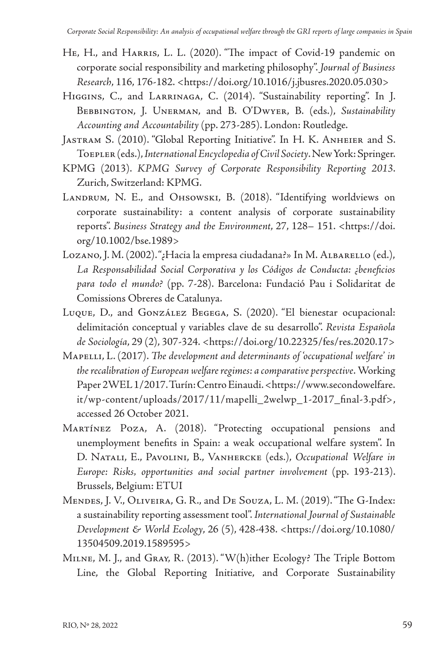- HE, H., and HARRIS, L. L. (2020). "The impact of Covid-19 pandemic on corporate social responsibility and marketing philosophy". *Journal of Business Research*, 116, 176-182. [<https://doi.org/10.1016/j.jbusres.2020.05.030](https://doi.org/10.1016/j.jbusres.2020.05.030)>
- Higgins, C., and Larrinaga, C. (2014). "Sustainability reporting". In J. Bebbington, J. Unerman, and B. O'Dwyer, B. (eds.), *Sustainability Accounting and Accountability* (pp. 273-285). London: Routledge.
- Jastram S. (2010). "Global Reporting Initiative". In H. K. Anheier and S. Toepler (eds.), *International Encyclopedia of Civil Society*. New York: Springer.
- KPMG (2013). *KPMG Survey of Corporate Responsibility Reporting 2013*. Zurich, Switzerland: KPMG.
- LANDRUM, N. E., and OHSOWSKI, B. (2018). "Identifying worldviews on corporate sustainability: a content analysis of corporate sustainability reports". *Business Strategy and the Environment*, 27, 128– 151. [<https://doi.](https://doi.org/10.1002/bse.1989) [org/10.1002/bse.1989](https://doi.org/10.1002/bse.1989)>
- Lozano, J. M. (2002). "¿Hacia la empresa ciudadana?» In M. Albarello (ed.), *La Responsabilidad Social Corporativa y los Códigos de Conducta: ¿beneficios para todo el mundo?* (pp. 7-28). Barcelona: Fundació Pau i Solidaritat de Comissions Obreres de Catalunya.
- Luque, D., and González Begega, S. (2020). "El bienestar ocupacional: delimitación conceptual y variables clave de su desarrollo". *Revista Española de Sociología*, 29 (2), 307-324. <<https://doi.org/10.22325/fes/res.2020.17>>
- Mapelli, L. (2017). *The development and determinants of 'occupational welfare' in the recalibration of European welfare regimes: a comparative perspective*.Working Paper 2WEL 1/2017. Turín: Centro Einaudi. <[https://www.secondowelfare.](https://www.secondowelfare.it/wp-content/uploads/2017/11/mapelli_2welwp_1-2017_final-3.pdf) [it/wp-content/uploads/2017/11/mapelli\\_2welwp\\_1-2017\\_final-3.pdf>](https://www.secondowelfare.it/wp-content/uploads/2017/11/mapelli_2welwp_1-2017_final-3.pdf), accessed 26 October 2021.
- Martínez Poza, A. (2018). "Protecting occupational pensions and unemployment benefits in Spain: a weak occupational welfare system". In D. Natali, E., Pavolini, B., Vanhercke (eds.), *Occupational Welfare in Europe: Risks, opportunities and social partner involvement* (pp. 193-213). Brussels, Belgium: ETUI
- Mendes, J. V., Oliveira, G. R., and De Souza, L. M. (2019). "The G-Index: a sustainability reporting assessment tool". *International Journal of Sustainable Development & World Ecology*, 26 (5), 428-438. [<https://doi.org/10.1080/](https://doi.org/10.1080/13504509.2019.1589595) [13504509.2019.1589595>](https://doi.org/10.1080/13504509.2019.1589595)
- Milne, M. J., and Gray, R. (2013). "W(h)ither Ecology? The Triple Bottom Line, the Global Reporting Initiative, and Corporate Sustainability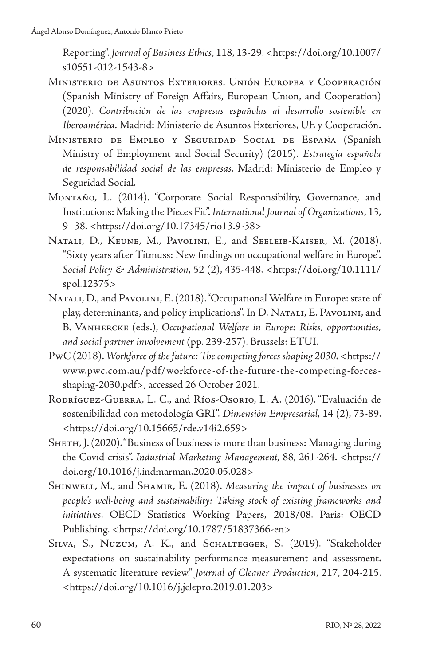Reporting". *Journal of Business Ethics*, 118, 13-29. <[https://doi.org/10.1007/](https://doi.org/10.1007/s10551-012-1543-8) [s10551-012-1543-8](https://doi.org/10.1007/s10551-012-1543-8)>

- Ministerio de Asuntos Exteriores, Unión Europea y Cooperación (Spanish Ministry of Foreign Affairs, European Union, and Cooperation) (2020). *Contribución de las empresas españolas al desarrollo sostenible en Iberoamérica.* Madrid: Ministerio de Asuntos Exteriores, UE y Cooperación.
- Ministerio de Empleo y Seguridad Social de España (Spanish Ministry of Employment and Social Security) (2015)*. Estrategia española de responsabilidad social de las empresas*. Madrid: Ministerio de Empleo y Seguridad Social.
- Montaño, L. (2014). "Corporate Social Responsibility, Governance, and Institutions: Making the Pieces Fit". *International Journal of Organizations*, 13, 9–38. [<https://doi.org/10.17345/rio13.9-38](https://doi.org/10.17345/rio13.9-38)>
- NATALI, D., KEUNE, M., PAVOLINI, E., and SEELEIB-KAISER, M. (2018). "Sixty years after Titmuss: New findings on occupational welfare in Europe". *Social Policy & Administration*, 52 (2), 435-448. <[https://doi.org/10.1111/](https://doi.org/10.1111/spol.12375) [spol.12375>](https://doi.org/10.1111/spol.12375)
- Natali, D., and Pavolini, E. (2018). "Occupational Welfare in Europe: state of play, determinants, and policy implications". In D. NATALI, E. PAVOLINI, and B. Vanhercke (eds.), *Occupational Welfare in Europe: Risks, opportunities, and social partner involvement* (pp. 239-257). Brussels: ETUI.
- PwC (2018). *Workforce of the future: The competing forces shaping 2030*. <[https://](https://www.pwc.com.au/pdf/workforce-of-the-future-the-competing-forces-shaping-2030.pdf) [www.pwc.com.au/pdf/workforce-of-the-future-the-competing-forces](https://www.pwc.com.au/pdf/workforce-of-the-future-the-competing-forces-shaping-2030.pdf)[shaping-2030.pdf](https://www.pwc.com.au/pdf/workforce-of-the-future-the-competing-forces-shaping-2030.pdf)>, accessed 26 October 2021.
- RODRÍGUEZ-GUERRA, L. C., and Ríos-Osorio, L. A. (2016). "Evaluación de sostenibilidad con metodología GRI". *Dimensión Empresarial*, 14 (2), 73-89. [<https://doi.org/10.15665/rde.v14i2.659](https://doi.org/10.15665/rde.v14i2.659)>
- SHETH, J. (2020). "Business of business is more than business: Managing during the Covid crisis". *Industrial Marketing Management*, 88, 261-264. <[https://](https://doi.org/10.1016/j.indmarman.2020.05.028) [doi.org/10.1016/j.indmarman.2020.05.028](https://doi.org/10.1016/j.indmarman.2020.05.028)>
- Shinwell, M., and Shamir, E. (2018). *Measuring the impact of businesses on people's well-being and sustainability: Taking stock of existing frameworks and initiatives*. OECD Statistics Working Papers, 2018/08. Paris: OECD Publishing. <<https://doi.org/10.1787/51837366-en>>
- SILVA, S., NUZUM, A. K., and SCHALTEGGER, S. (2019). "Stakeholder expectations on sustainability performance measurement and assessment. A systematic literature review." *Journal of Cleaner Production*, 217, 204-215. [<https://doi.org/10.1016/j.jclepro.2019.01.203>](https://doi.org/10.1016/j.jclepro.2019.01.203)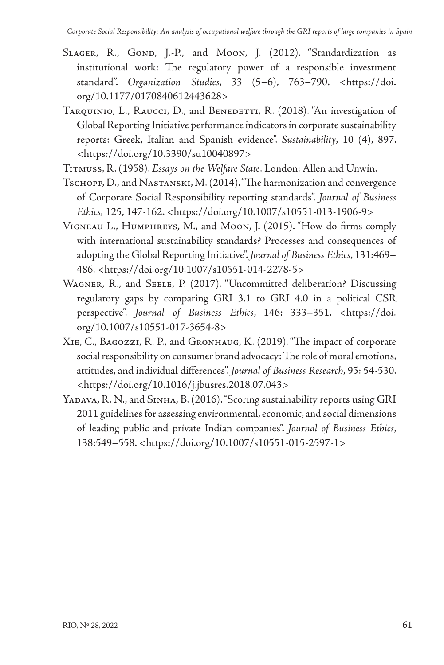- SLAGER, R., GOND, J.-P., and MOON, J. (2012). "Standardization as institutional work: The regulatory power of a responsible investment standard". *Organization Studies*, 33 (5–6), 763–790. [<https://doi.](https://doi.org/10.1177/0170840612443628) [org/10.1177/0170840612443628>](https://doi.org/10.1177/0170840612443628)
- TARQUINIO, L., RAUCCI, D., and BENEDETTI, R. (2018). "An investigation of Global Reporting Initiative performance indicators in corporate sustainability reports: Greek, Italian and Spanish evidence". *Sustainability*, 10 (4), 897. [<https://doi.org/10.3390/su10040897>](https://doi.org/10.3390/su10040897)
- Titmuss, R. (1958). *Essays on the Welfare State*. London: Allen and Unwin.
- Tschopp, D., and Nastanski, M. (2014). "The harmonization and convergence of Corporate Social Responsibility reporting standards". *Journal of Business Ethics,* 125, 147-162. [<https://doi.org/10.1007/s10551-013-1906-9>](https://doi.org/10.1007/s10551-013-1906-9)
- Vigneau L., Humphreys, M., and Moon, J. (2015). "How do firms comply with international sustainability standards? Processes and consequences of adopting the Global Reporting Initiative". *Journal of Business Ethics*, 131:469– 486. [<https://doi.org/10.1007/s10551-014-2278-5>](https://doi.org/10.1007/s10551-014-2278-5)
- Wagner, R., and Seele, P. (2017). "Uncommitted deliberation? Discussing regulatory gaps by comparing GRI 3.1 to GRI 4.0 in a political CSR perspective". *Journal of Business Ethics*, 146: 333–351. [<https://doi.](https://doi.org/10.1007/s10551-017-3654-8) [org/10.1007/s10551-017-3654-8](https://doi.org/10.1007/s10551-017-3654-8)>
- Xie, C., Bagozzi, R. P., and Gronhaug, K. (2019). "The impact of corporate social responsibility on consumer brand advocacy: The role of moral emotions, attitudes, and individual differences". *Journal of Business Research*, 95: 54-530. [<https://doi.org/10.1016/j.jbusres.2018.07.043](https://doi.org/10.1016/j.jbusres.2018.07.043)>
- YADAVA, R. N., and SINHA, B. (2016). "Scoring sustainability reports using GRI 2011 guidelines for assessing environmental, economic, and social dimensions of leading public and private Indian companies". *Journal of Business Ethics*, 138:549–558. <<https://doi.org/10.1007/s10551-015-2597-1>>